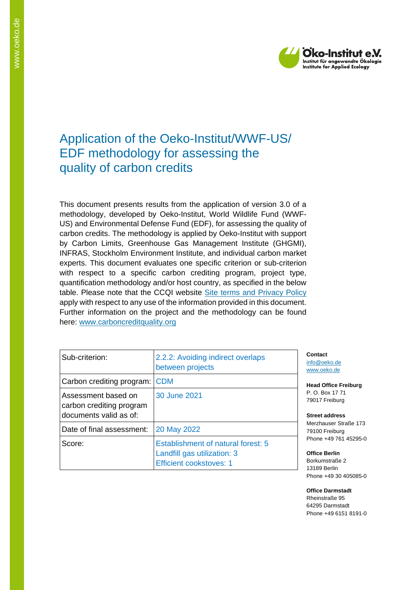

# Application of the Oeko-Institut/WWF-US/ EDF methodology for assessing the quality of carbon credits

This document presents results from the application of version 3.0 of a methodology, developed by Oeko-Institut, World Wildlife Fund (WWF-US) and Environmental Defense Fund (EDF), for assessing the quality of carbon credits. The methodology is applied by Oeko-Institut with support by Carbon Limits, Greenhouse Gas Management Institute (GHGMI), INFRAS, Stockholm Environment Institute, and individual carbon market experts. This document evaluates one specific criterion or sub-criterion with respect to a specific carbon crediting program, project type, quantification methodology and/or host country, as specified in the below table. Please note that the CCQI website [Site terms and Privacy Policy](https://carboncreditquality.org/terms.html) apply with respect to any use of the information provided in this document. Further information on the project and the methodology can be found here: [www.carboncreditquality.org](http://www.carboncreditquality.org/)

| Sub-criterion:                                                            | 2.2.2: Avoiding indirect overlaps<br>between projects                                               |
|---------------------------------------------------------------------------|-----------------------------------------------------------------------------------------------------|
| Carbon crediting program:                                                 | <b>CDM</b>                                                                                          |
| Assessment based on<br>carbon crediting program<br>documents valid as of: | 30 June 2021                                                                                        |
| Date of final assessment:                                                 | 20 May 2022                                                                                         |
| Score:                                                                    | Establishment of natural forest: 5<br>Landfill gas utilization: 3<br><b>Efficient cookstoves: 1</b> |

**Contact** [info@oeko.de](mailto:info@oeko.de) [www.oeko.de](http://www.oeko.de/)

**Head Office Freiburg** P. O. Box 17 71 79017 Freiburg

**Street address** Merzhauser Straße 173 79100 Freiburg Phone +49 761 45295-0

**Office Berlin** Borkumstraße 2 13189 Berlin Phone +49 30 405085-0

**Office Darmstadt** Rheinstraße 95 64295 Darmstadt Phone +49 6151 8191-0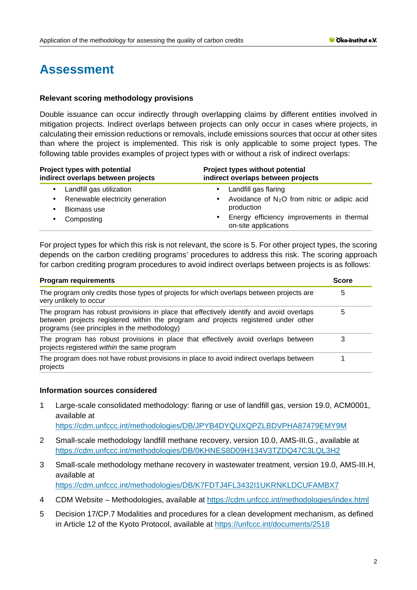# **Assessment**

## **Relevant scoring methodology provisions**

Double issuance can occur indirectly through overlapping claims by different entities involved in mitigation projects. Indirect overlaps between projects can only occur in cases where projects, in calculating their emission reductions or removals, include emissions sources that occur at other sites than where the project is implemented. This risk is only applicable to some project types. The following table provides examples of project types with or without a risk of indirect overlaps:

| Project types with potential<br>indirect overlaps between projects | Project types without potential<br>indirect overlaps between projects   |
|--------------------------------------------------------------------|-------------------------------------------------------------------------|
| Landfill gas utilization                                           | Landfill gas flaring                                                    |
| Renewable electricity generation<br>Biomass use                    | Avoidance of $N_2O$ from nitric or adipic acid<br>$\sim$<br>production  |
| Composting                                                         | Energy efficiency improvements in thermal<br>٠.<br>on-site applications |

For project types for which this risk is not relevant, the score is 5. For other project types, the scoring depends on the carbon crediting programs' procedures to address this risk. The scoring approach for carbon crediting program procedures to avoid indirect overlaps between projects is as follows:

| <b>Program requirements</b><br>The program only credits those types of projects for which overlaps between projects are<br>very unlikely to occur |  |
|---------------------------------------------------------------------------------------------------------------------------------------------------|--|
|                                                                                                                                                   |  |
| The program has robust provisions in place that effectively avoid overlaps between<br>projects registered within the same program                 |  |
| The program does not have robust provisions in place to avoid indirect overlaps between<br>projects                                               |  |

#### **Information sources considered**

1 Large-scale consolidated methodology: flaring or use of landfill gas, version 19.0, ACM0001, available at

<https://cdm.unfccc.int/methodologies/DB/JPYB4DYQUXQPZLBDVPHA87479EMY9M>

- 2 Small-scale methodology landfill methane recovery, version 10.0, AMS-III.G., available at <https://cdm.unfccc.int/methodologies/DB/0KHNES8D09H134V3TZDQ47C3LQL3H2>
- 3 Small-scale methodology methane recovery in wastewater treatment, version 19.0, AMS-III.H, available at <https://cdm.unfccc.int/methodologies/DB/K7FDTJ4FL3432I1UKRNKLDCUFAMBX7>
- 4 CDM Website Methodologies, available at<https://cdm.unfccc.int/methodologies/index.html>
- 5 Decision 17/CP.7 Modalities and procedures for a clean development mechanism, as defined in Article 12 of the Kyoto Protocol, available at<https://unfccc.int/documents/2518>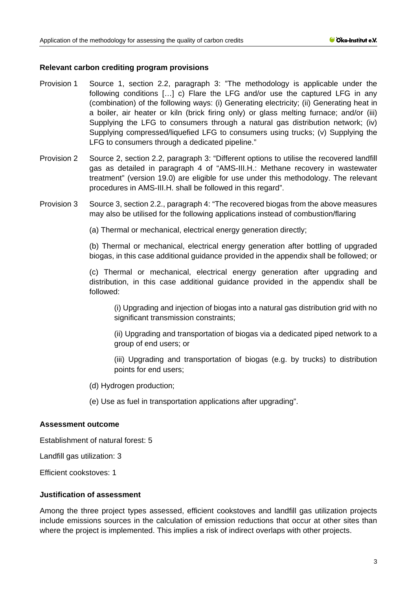### **Relevant carbon crediting program provisions**

- Provision 1 Source 1, section 2.2, paragraph 3: "The methodology is applicable under the following conditions […] c) Flare the LFG and/or use the captured LFG in any (combination) of the following ways: (i) Generating electricity; (ii) Generating heat in a boiler, air heater or kiln (brick firing only) or glass melting furnace; and/or (iii) Supplying the LFG to consumers through a natural gas distribution network; (iv) Supplying compressed/liquefied LFG to consumers using trucks; (v) Supplying the LFG to consumers through a dedicated pipeline."
- Provision 2 Source 2, section 2.2, paragraph 3: "Different options to utilise the recovered landfill gas as detailed in paragraph 4 of "AMS-III.H.: Methane recovery in wastewater treatment" (version 19.0) are eligible for use under this methodology. The relevant procedures in AMS-III.H. shall be followed in this regard".
- Provision 3 Source 3, section 2.2., paragraph 4: "The recovered biogas from the above measures may also be utilised for the following applications instead of combustion/flaring

(a) Thermal or mechanical, electrical energy generation directly;

(b) Thermal or mechanical, electrical energy generation after bottling of upgraded biogas, in this case additional guidance provided in the appendix shall be followed; or

(c) Thermal or mechanical, electrical energy generation after upgrading and distribution, in this case additional guidance provided in the appendix shall be followed:

(i) Upgrading and injection of biogas into a natural gas distribution grid with no significant transmission constraints;

(ii) Upgrading and transportation of biogas via a dedicated piped network to a group of end users; or

(iii) Upgrading and transportation of biogas (e.g. by trucks) to distribution points for end users;

- (d) Hydrogen production;
- (e) Use as fuel in transportation applications after upgrading".

#### **Assessment outcome**

Establishment of natural forest: 5

Landfill gas utilization: 3

Efficient cookstoves: 1

# **Justification of assessment**

Among the three project types assessed, efficient cookstoves and landfill gas utilization projects include emissions sources in the calculation of emission reductions that occur at other sites than where the project is implemented. This implies a risk of indirect overlaps with other projects.